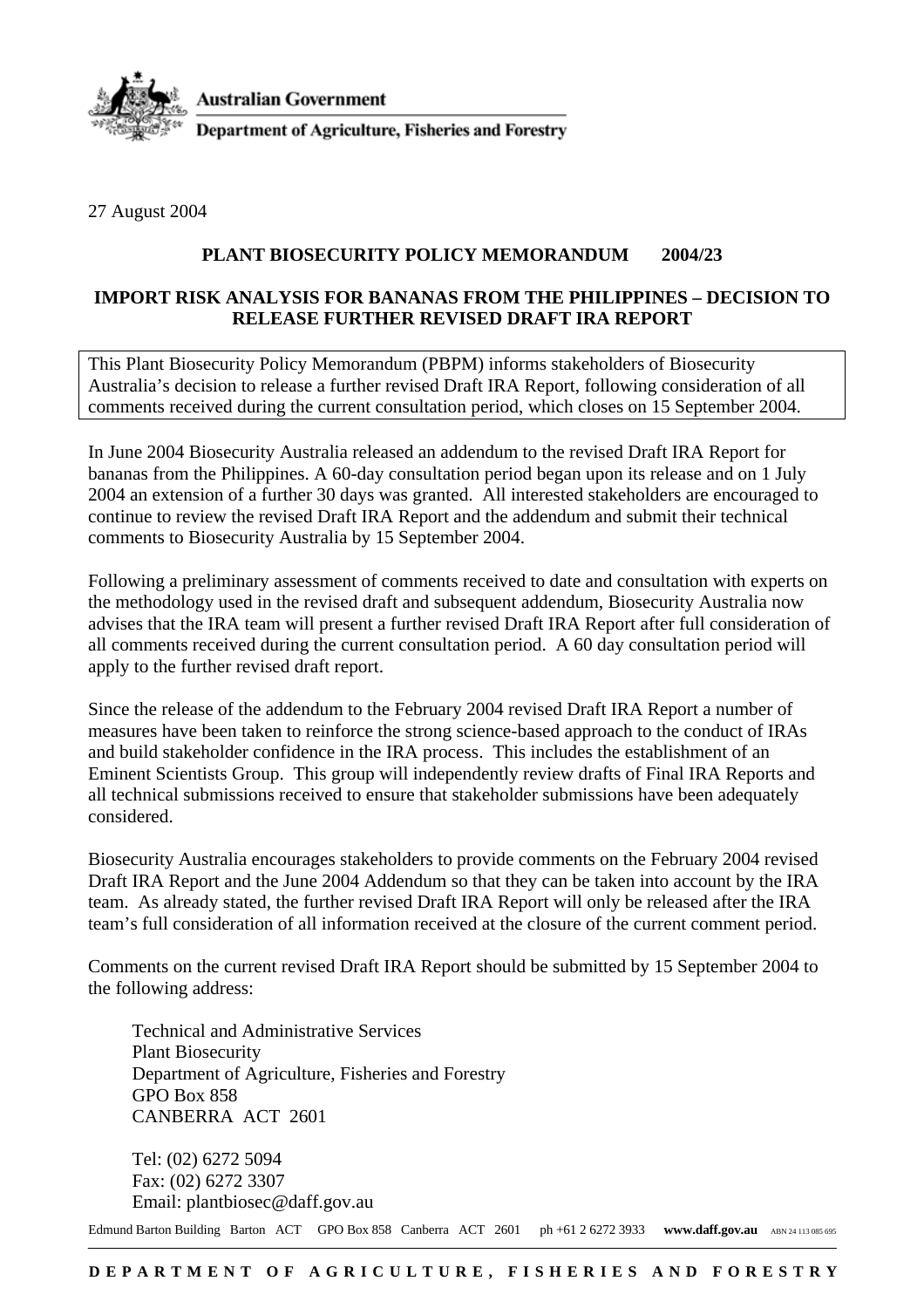

**Australian Government** 

**Department of Agriculture, Fisheries and Forestry** 

27 August 2004

## **PLANT BIOSECURITY POLICY MEMORANDUM 2004/23**

## **IMPORT RISK ANALYSIS FOR BANANAS FROM THE PHILIPPINES – DECISION TO RELEASE FURTHER REVISED DRAFT IRA REPORT**

This Plant Biosecurity Policy Memorandum (PBPM) informs stakeholders of Biosecurity Australia's decision to release a further revised Draft IRA Report, following consideration of all comments received during the current consultation period, which closes on 15 September 2004.

In June 2004 Biosecurity Australia released an addendum to the revised Draft IRA Report for bananas from the Philippines. A 60-day consultation period began upon its release and on 1 July 2004 an extension of a further 30 days was granted. All interested stakeholders are encouraged to continue to review the revised Draft IRA Report and the addendum and submit their technical comments to Biosecurity Australia by 15 September 2004.

Following a preliminary assessment of comments received to date and consultation with experts on the methodology used in the revised draft and subsequent addendum, Biosecurity Australia now advises that the IRA team will present a further revised Draft IRA Report after full consideration of all comments received during the current consultation period. A 60 day consultation period will apply to the further revised draft report.

Since the release of the addendum to the February 2004 revised Draft IRA Report a number of measures have been taken to reinforce the strong science-based approach to the conduct of IRAs and build stakeholder confidence in the IRA process. This includes the establishment of an Eminent Scientists Group. This group will independently review drafts of Final IRA Reports and all technical submissions received to ensure that stakeholder submissions have been adequately considered.

Biosecurity Australia encourages stakeholders to provide comments on the February 2004 revised Draft IRA Report and the June 2004 Addendum so that they can be taken into account by the IRA team. As already stated, the further revised Draft IRA Report will only be released after the IRA team's full consideration of all information received at the closure of the current comment period.

Comments on the current revised Draft IRA Report should be submitted by 15 September 2004 to the following address:

Technical and Administrative Services Plant Biosecurity Department of Agriculture, Fisheries and Forestry GPO Box 858 CANBERRA ACT 2601

Tel: (02) 6272 5094 Fax: (02) 6272 3307 Email: plantbiosec@daff.gov.au

Edmund Barton Building Barton ACT GPO Box 858 Canberra ACT 2601 ph +61 2 6272 3933 www.daff.gov.au ABN 24 113 085 695